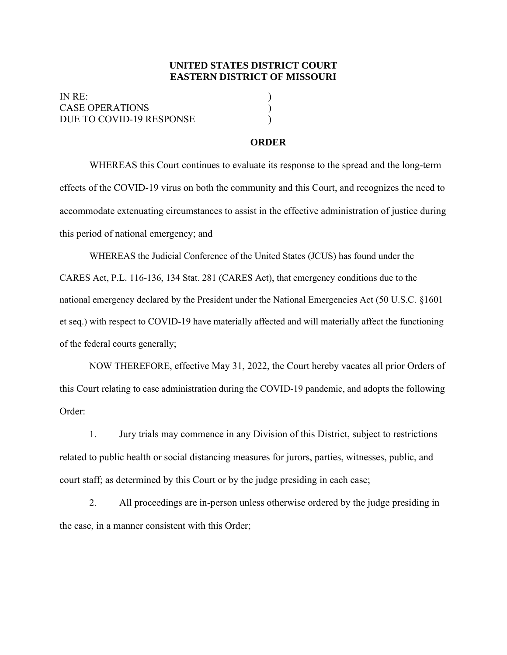## **UNITED STATES DISTRICT COURT EASTERN DISTRICT OF MISSOURI**

IN RE: CASE OPERATIONS (2002) DUE TO COVID-19 RESPONSE

## **ORDER**

WHEREAS this Court continues to evaluate its response to the spread and the long-term effects of the COVID-19 virus on both the community and this Court, and recognizes the need to accommodate extenuating circumstances to assist in the effective administration of justice during this period of national emergency; and

WHEREAS the Judicial Conference of the United States (JCUS) has found under the CARES Act, P.L. 116-136, 134 Stat. 281 (CARES Act), that emergency conditions due to the national emergency declared by the President under the National Emergencies Act (50 U.S.C. §1601 et seq.) with respect to COVID-19 have materially affected and will materially affect the functioning of the federal courts generally;

NOW THEREFORE, effective May 31, 2022, the Court hereby vacates all prior Orders of this Court relating to case administration during the COVID-19 pandemic, and adopts the following Order:

1. Jury trials may commence in any Division of this District, subject to restrictions related to public health or social distancing measures for jurors, parties, witnesses, public, and court staff; as determined by this Court or by the judge presiding in each case;

2. All proceedings are in-person unless otherwise ordered by the judge presiding in the case, in a manner consistent with this Order;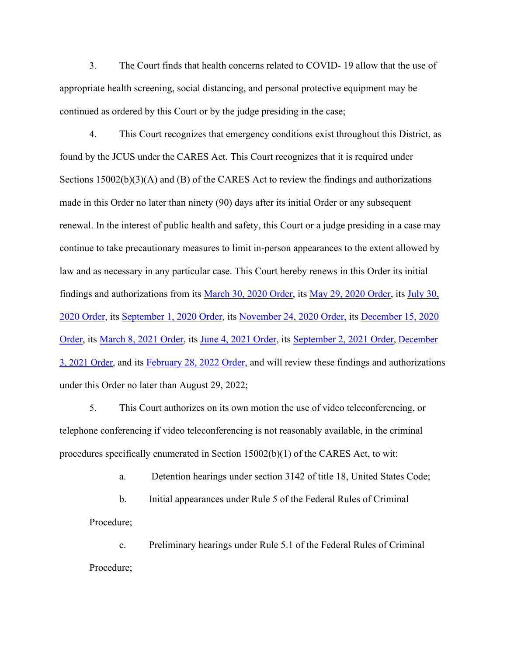3. The Court finds that health concerns related to COVID- 19 allow that the use of appropriate health screening, social distancing, and personal protective equipment may be continued as ordered by this Court or by the judge presiding in the case;

4. This Court recognizes that emergency conditions exist throughout this District, as found by the JCUS under the CARES Act. This Court recognizes that it is required under Sections 15002(b)(3)(A) and (B) of the CARES Act to review the findings and authorizations made in this Order no later than ninety (90) days after its initial Order or any subsequent renewal. In the interest of public health and safety, this Court or a judge presiding in a case may continue to take precautionary measures to limit in-person appearances to the extent allowed by law and as necessary in any particular case. This Court hereby renews in this Order its initial findings and authorizations from its [March 30, 2020 Order,](https://www.moed.uscourts.gov/sites/moed/files/documents/news/Order-03-30-2020.pdf) its [May 29, 2020 Order,](https://www.moed.uscourts.gov/sites/moed/files/documents/news/ORDER-Case-Operations-COVID-19-05-29-20.pdf) its [July 30,](https://www.moed.uscourts.gov/sites/moed/files/documents/administrative-orders/arod-0039.pdf)  [2020 Order,](https://www.moed.uscourts.gov/sites/moed/files/documents/administrative-orders/arod-0039.pdf) its [September 1, 2020 Order,](https://www.moed.uscourts.gov/sites/moed/files/documents/administrative-orders/arod-0040.pdf) its [November 24, 2020 Order,](https://www.moed.uscourts.gov/sites/moed/files/documents/administrative-orders/aord-0044.pdf) its [December 15, 2020](https://www.moed.uscourts.gov/sites/moed/files/documents/news/Order%20Re%20Case%20Operations%20COVID%2012-15-20%20FINAL.pdf)  [Order,](https://www.moed.uscourts.gov/sites/moed/files/documents/news/Order%20Re%20Case%20Operations%20COVID%2012-15-20%20FINAL.pdf) its [March 8, 2021 Order,](https://www.moed.uscourts.gov/sites/moed/files/documents/administrative-orders/arod-0049.pdf) its [June 4, 2021 Order,](https://www.moed.uscourts.gov/news/2021/us-district-court-eastern-mo-extends-speedy-trial-act-waiver-remote-hearings-authorization) its [September 2, 2021 Order](https://www.moed.uscourts.gov/sites/moed/files/documents/administrative-orders/arod-0061.pdf), [December](https://www.moed.uscourts.gov/sites/moed/files/documents/administrative-orders/arod-0068.pdf)  [3, 2021 Order,](https://www.moed.uscourts.gov/sites/moed/files/documents/administrative-orders/arod-0068.pdf) and its [February 28, 2022 Order,](https://www.moed.uscourts.gov/sites/moed/files/documents/administrative-orders/arod-0070.pdf) and will review these findings and authorizations under this Order no later than August 29, 2022;

5. This Court authorizes on its own motion the use of video teleconferencing, or telephone conferencing if video teleconferencing is not reasonably available, in the criminal procedures specifically enumerated in Section  $15002(b)(1)$  of the CARES Act, to wit:

a. Detention hearings under section 3142 of title 18, United States Code;

b. Initial appearances under Rule 5 of the Federal Rules of Criminal Procedure;

c. Preliminary hearings under Rule 5.1 of the Federal Rules of Criminal Procedure;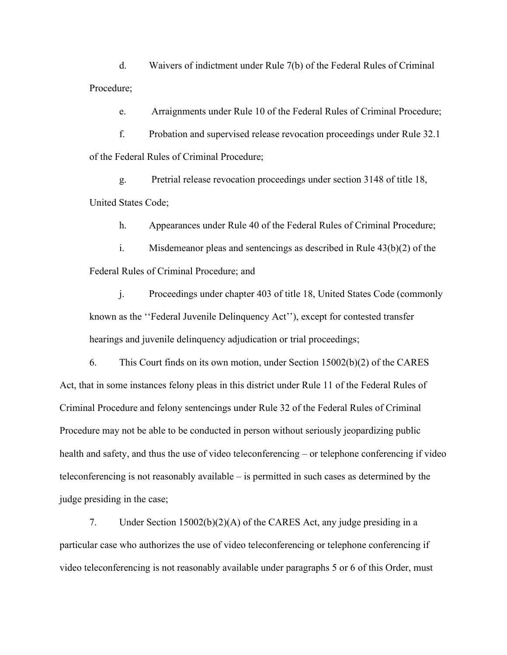d. Waivers of indictment under Rule 7(b) of the Federal Rules of Criminal Procedure;

e. Arraignments under Rule 10 of the Federal Rules of Criminal Procedure;

f. Probation and supervised release revocation proceedings under Rule 32.1 of the Federal Rules of Criminal Procedure;

g. Pretrial release revocation proceedings under section 3148 of title 18, United States Code;

h. Appearances under Rule 40 of the Federal Rules of Criminal Procedure;

i. Misdemeanor pleas and sentencings as described in Rule 43(b)(2) of the Federal Rules of Criminal Procedure; and

j. Proceedings under chapter 403 of title 18, United States Code (commonly known as the ''Federal Juvenile Delinquency Act''), except for contested transfer hearings and juvenile delinquency adjudication or trial proceedings;

6. This Court finds on its own motion, under Section 15002(b)(2) of the CARES Act, that in some instances felony pleas in this district under Rule 11 of the Federal Rules of Criminal Procedure and felony sentencings under Rule 32 of the Federal Rules of Criminal Procedure may not be able to be conducted in person without seriously jeopardizing public health and safety, and thus the use of video teleconferencing – or telephone conferencing if video teleconferencing is not reasonably available – is permitted in such cases as determined by the judge presiding in the case;

7. Under Section 15002(b)(2)(A) of the CARES Act, any judge presiding in a particular case who authorizes the use of video teleconferencing or telephone conferencing if video teleconferencing is not reasonably available under paragraphs 5 or 6 of this Order, must